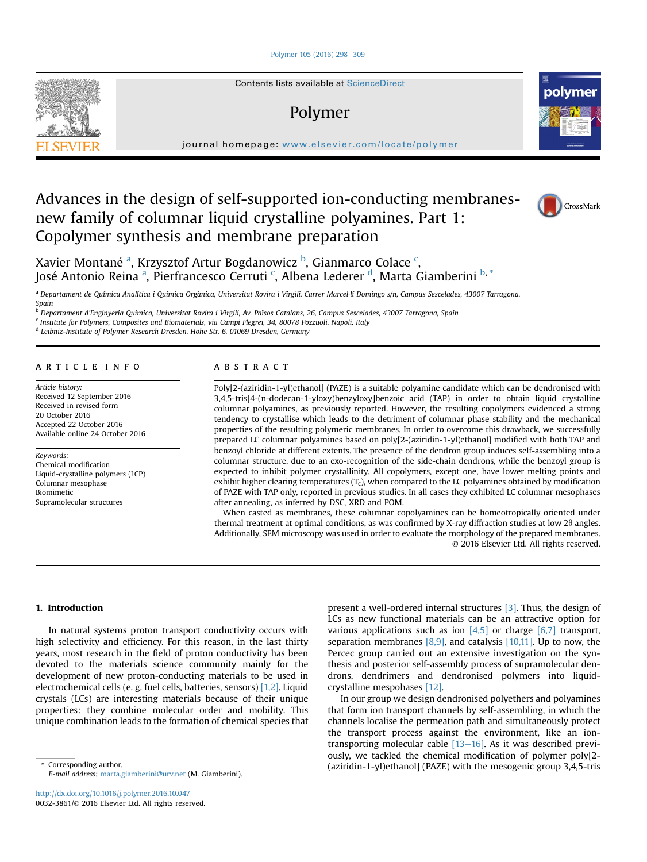#### [Polymer 105 \(2016\) 298](http://dx.doi.org/10.1016/j.polymer.2016.10.047)-[309](http://dx.doi.org/10.1016/j.polymer.2016.10.047)



Contents lists available at ScienceDirect

# Polymer



journal homepage: [www.elsevier.com/locate/polymer](http://www.elsevier.com/locate/polymer)

# Advances in the design of self-supported ion-conducting membranesnew family of columnar liquid crystalline polyamines. Part 1: Copolymer synthesis and membrane preparation



Xavier Montané <sup>a</sup>, Krzysztof Artur Bogdanowicz <sup>b</sup>, Gianmarco Colace <sup>c</sup>, José Antonio Reina <sup>a</sup>, Pierfrancesco Cerruti <sup>c</sup>, Albena Lederer <sup>d</sup>, Marta Giamberini <sup>b, \*</sup>

a Departament de Química Analítica i Química Orgànica, Universitat Rovira i Virgili, Carrer Marcel lí Domingo s/n, Campus Sescelades, 43007 Tarragona, Spain

<sup>b</sup> Departament d'Enginyeria Química, Universitat Rovira i Virgili, Av. Països Catalans, 26, Campus Sescelades, 43007 Tarragona, Spain

<sup>c</sup> Institute for Polymers, Composites and Biomaterials, via Campi Flegrei, 34, 80078 Pozzuoli, Napoli, Italy

<sup>d</sup> Leibniz-Institute of Polymer Research Dresden, Hohe Str. 6, 01069 Dresden, Germany

## ARTICLE INFO

Article history: Received 12 September 2016 Received in revised form 20 October 2016 Accepted 22 October 2016 Available online 24 October 2016

Keywords: Chemical modification Liquid-crystalline polymers (LCP) Columnar mesophase Biomimetic Supramolecular structures

#### **ABSTRACT**

Poly[2-(aziridin-1-yl)ethanol] (PAZE) is a suitable polyamine candidate which can be dendronised with 3,4,5-tris[4-(n-dodecan-1-yloxy)benzyloxy]benzoic acid (TAP) in order to obtain liquid crystalline columnar polyamines, as previously reported. However, the resulting copolymers evidenced a strong tendency to crystallise which leads to the detriment of columnar phase stability and the mechanical properties of the resulting polymeric membranes. In order to overcome this drawback, we successfully prepared LC columnar polyamines based on poly[2-(aziridin-1-yl)ethanol] modified with both TAP and benzoyl chloride at different extents. The presence of the dendron group induces self-assembling into a columnar structure, due to an exo-recognition of the side-chain dendrons, while the benzoyl group is expected to inhibit polymer crystallinity. All copolymers, except one, have lower melting points and exhibit higher clearing temperatures  $(T_c)$ , when compared to the LC polyamines obtained by modification of PAZE with TAP only, reported in previous studies. In all cases they exhibited LC columnar mesophases after annealing, as inferred by DSC, XRD and POM.

When casted as membranes, these columnar copolyamines can be homeotropically oriented under thermal treatment at optimal conditions, as was confirmed by X-ray diffraction studies at low  $2\theta$  angles. Additionally, SEM microscopy was used in order to evaluate the morphology of the prepared membranes. © 2016 Elsevier Ltd. All rights reserved.

#### 1. Introduction

In natural systems proton transport conductivity occurs with high selectivity and efficiency. For this reason, in the last thirty years, most research in the field of proton conductivity has been devoted to the materials science community mainly for the development of new proton-conducting materials to be used in electrochemical cells (e. g. fuel cells, batteries, sensors) [\[1,2\].](#page--1-0) Liquid crystals (LCs) are interesting materials because of their unique properties: they combine molecular order and mobility. This unique combination leads to the formation of chemical species that

E-mail address: [marta.giamberini@urv.net](mailto:marta.giamberini@urv.net) (M. Giamberini).

present a well-ordered internal structures [\[3\]](#page--1-0). Thus, the design of LCs as new functional materials can be an attractive option for various applications such as ion  $[4,5]$  or charge  $[6,7]$  transport, separation membranes  $[8,9]$ , and catalysis  $[10,11]$ . Up to now, the Percec group carried out an extensive investigation on the synthesis and posterior self-assembly process of supramolecular dendrons, dendrimers and dendronised polymers into liquidcrystalline mespohases [\[12\].](#page--1-0)

In our group we design dendronised polyethers and polyamines that form ion transport channels by self-assembling, in which the channels localise the permeation path and simultaneously protect the transport process against the environment, like an iontransporting molecular cable  $[13-16]$  $[13-16]$ . As it was described previously, we tackled the chemical modification of polymer poly[2- (aziridin-1-yl)ethanol] (PAZE) with the mesogenic group 3,4,5-tris \* Corresponding author.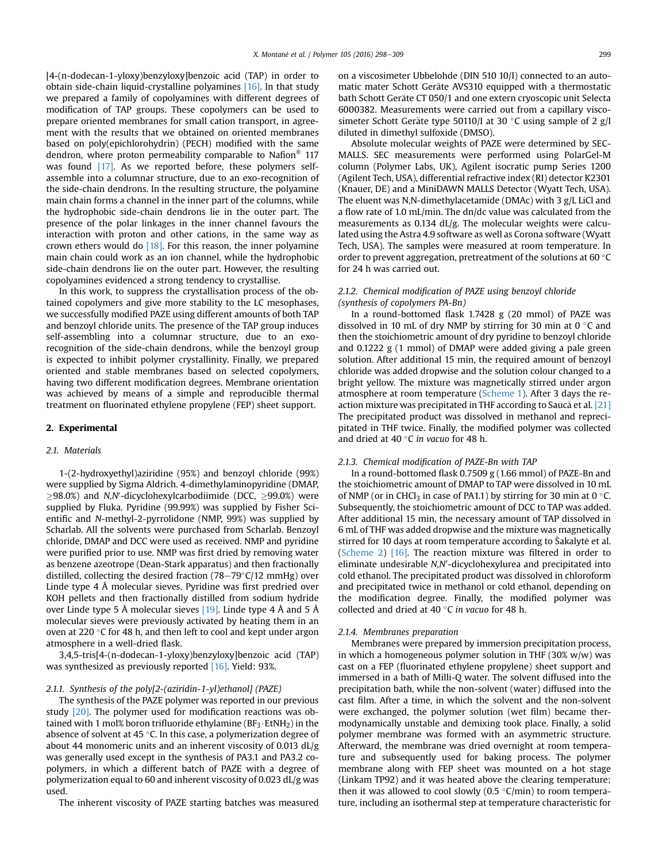[4-(n-dodecan-1-yloxy)benzyloxy]benzoic acid (TAP) in order to obtain side-chain liquid-crystalline polyamines [\[16\]](#page--1-0). In that study we prepared a family of copolyamines with different degrees of modification of TAP groups. These copolymers can be used to prepare oriented membranes for small cation transport, in agreement with the results that we obtained on oriented membranes based on poly(epichlorohydrin) (PECH) modified with the same dendron, where proton permeability comparable to Nafion<sup>®</sup> 117 was found [\[17\]](#page--1-0). As we reported before, these polymers selfassemble into a columnar structure, due to an exo-recognition of the side-chain dendrons. In the resulting structure, the polyamine main chain forms a channel in the inner part of the columns, while the hydrophobic side-chain dendrons lie in the outer part. The presence of the polar linkages in the inner channel favours the interaction with proton and other cations, in the same way as crown ethers would do  $[18]$ . For this reason, the inner polyamine main chain could work as an ion channel, while the hydrophobic side-chain dendrons lie on the outer part. However, the resulting copolyamines evidenced a strong tendency to crystallise.

In this work, to suppress the crystallisation process of the obtained copolymers and give more stability to the LC mesophases, we successfully modified PAZE using different amounts of both TAP and benzoyl chloride units. The presence of the TAP group induces self-assembling into a columnar structure, due to an exorecognition of the side-chain dendrons, while the benzoyl group is expected to inhibit polymer crystallinity. Finally, we prepared oriented and stable membranes based on selected copolymers, having two different modification degrees. Membrane orientation was achieved by means of a simple and reproducible thermal treatment on fluorinated ethylene propylene (FEP) sheet support.

#### 2. Experimental

#### 2.1. Materials

1-(2-hydroxyethyl)aziridine (95%) and benzoyl chloride (99%) were supplied by Sigma Aldrich. 4-dimethylaminopyridine (DMAP,  $\geq$ 98.0%) and *N,N'*-dicyclohexylcarbodiimide (DCC,  $\geq$ 99.0%) were supplied by Fluka. Pyridine (99.99%) was supplied by Fisher Scientific and N-methyl-2-pyrrolidone (NMP, 99%) was supplied by Scharlab. All the solvents were purchased from Scharlab. Benzoyl chloride, DMAP and DCC were used as received. NMP and pyridine were purified prior to use. NMP was first dried by removing water as benzene azeotrope (Dean-Stark apparatus) and then fractionally distilled, collecting the desired fraction  $(78-79°C/12$  mmHg) over Linde type 4 Å molecular sieves. Pyridine was first predried over KOH pellets and then fractionally distilled from sodium hydride over Linde type 5 Å molecular sieves [\[19\].](#page--1-0) Linde type 4 Å and 5 Å molecular sieves were previously activated by heating them in an oven at 220 $\degree$ C for 48 h, and then left to cool and kept under argon atmosphere in a well-dried flask.

3,4,5-tris[4-(n-dodecan-1-yloxy)benzyloxy]benzoic acid (TAP) was synthesized as previously reported [\[16\]](#page--1-0). Yield: 93%.

## 2.1.1. Synthesis of the poly[2-(aziridin-1-yl)ethanol] (PAZE)

The synthesis of the PAZE polymer was reported in our previous study [\[20\]](#page--1-0). The polymer used for modification reactions was obtained with 1 mol% boron trifluoride ethylamine ( $BF_3 \cdot EtNH_2$ ) in the absence of solvent at 45 $\degree$ C. In this case, a polymerization degree of about 44 monomeric units and an inherent viscosity of 0.013 dL/g was generally used except in the synthesis of PA3.1 and PA3.2 copolymers, in which a different batch of PAZE with a degree of polymerization equal to 60 and inherent viscosity of 0.023 dL/g was used.

The inherent viscosity of PAZE starting batches was measured

on a viscosimeter Ubbelohde (DIN 510 10/I) connected to an automatic mater Schott Geräte AVS310 equipped with a thermostatic bath Schott Geräte CT 050/1 and one extern cryoscopic unit Selecta 6000382. Measurements were carried out from a capillary viscosimeter Schott Geräte type 50110/I at 30 °C using sample of 2  $g/l$ diluted in dimethyl sulfoxide (DMSO).

Absolute molecular weights of PAZE were determined by SEC-MALLS. SEC measurements were performed using PolarGel-M column (Polymer Labs, UK), Agilent isocratic pump Series 1200 (Agilent Tech, USA), differential refractive index (RI) detector K2301 (Knauer, DE) and a MiniDAWN MALLS Detector (Wyatt Tech, USA). The eluent was N,N-dimethylacetamide (DMAc) with 3 g/L LiCl and a flow rate of 1.0 mL/min. The dn/dc value was calculated from the measurements as 0.134 dL/g. The molecular weights were calculated using the Astra 4.9 software as well as Corona software (Wyatt Tech, USA). The samples were measured at room temperature. In order to prevent aggregation, pretreatment of the solutions at 60 $\degree$ C for 24 h was carried out.

### 2.1.2. Chemical modification of PAZE using benzoyl chloride (synthesis of copolymers PA-Bn)

In a round-bottomed flask 1.7428 g (20 mmol) of PAZE was dissolved in 10 mL of dry NMP by stirring for 30 min at  $0 °C$  and then the stoichiometric amount of dry pyridine to benzoyl chloride and 0.1222 g (1 mmol) of DMAP were added giving a pale green solution. After additional 15 min, the required amount of benzoyl chloride was added dropwise and the solution colour changed to a bright yellow. The mixture was magnetically stirred under argon atmosphere at room temperature [\(Scheme 1\)](#page--1-0). After 3 days the reaction mixture was precipitated in THF according to Sauca et al. [\[21\]](#page--1-0) The precipitated product was dissolved in methanol and reprecipitated in THF twice. Finally, the modified polymer was collected and dried at 40 $\degree$ C in vacuo for 48 h.

#### 2.1.3. Chemical modification of PAZE-Bn with TAP

In a round-bottomed flask 0.7509 g (1.66 mmol) of PAZE-Bn and the stoichiometric amount of DMAP to TAP were dissolved in 10 mL of NMP (or in CHCl<sub>3</sub> in case of PA1.1) by stirring for 30 min at 0 °C. Subsequently, the stoichiometric amount of DCC to TAP was added. After additional 15 min, the necessary amount of TAP dissolved in 6 mL of THF was added dropwise and the mixture was magnetically stirred for 10 days at room temperature according to Šakalyte et al. ([Scheme 2\)](#page--1-0) [\[16\].](#page--1-0) The reaction mixture was filtered in order to eliminate undesirable N,N'-dicyclohexylurea and precipitated into cold ethanol. The precipitated product was dissolved in chloroform and precipitated twice in methanol or cold ethanol, depending on the modification degree. Finally, the modified polymer was collected and dried at 40  $\degree$ C in vacuo for 48 h.

#### 2.1.4. Membranes preparation

Membranes were prepared by immersion precipitation process, in which a homogeneous polymer solution in THF  $(30\%)$  was cast on a FEP (fluorinated ethylene propylene) sheet support and immersed in a bath of Milli-Q water. The solvent diffused into the precipitation bath, while the non-solvent (water) diffused into the cast film. After a time, in which the solvent and the non-solvent were exchanged, the polymer solution (wet film) became thermodynamically unstable and demixing took place. Finally, a solid polymer membrane was formed with an asymmetric structure. Afterward, the membrane was dried overnight at room temperature and subsequently used for baking process. The polymer membrane along with FEP sheet was mounted on a hot stage (Linkam TP92) and it was heated above the clearing temperature; then it was allowed to cool slowly  $(0.5 \degree C/\text{min})$  to room temperature, including an isothermal step at temperature characteristic for